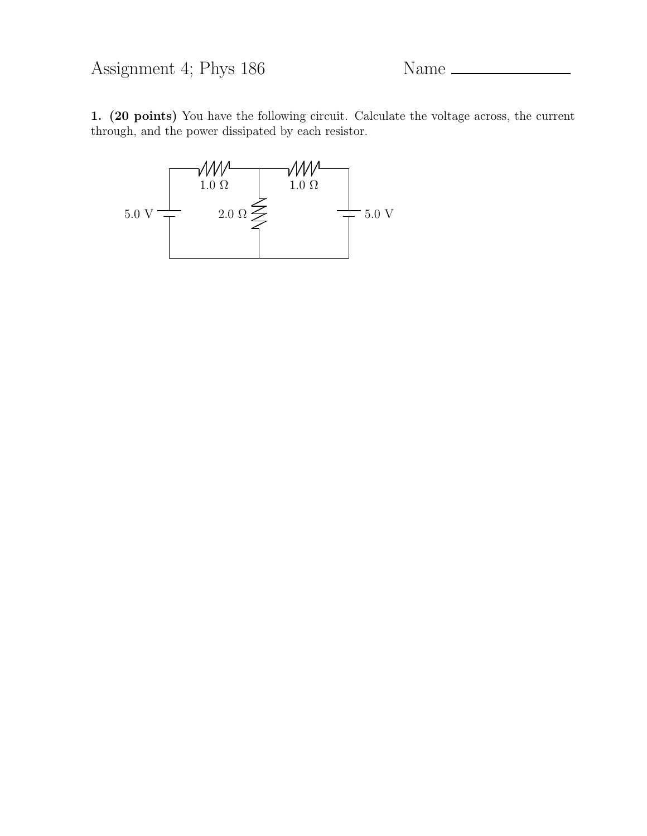Assignment 4; Phys 186 Name

1. (20 points) You have the following circuit. Calculate the voltage across, the current through, and the power dissipated by each resistor.

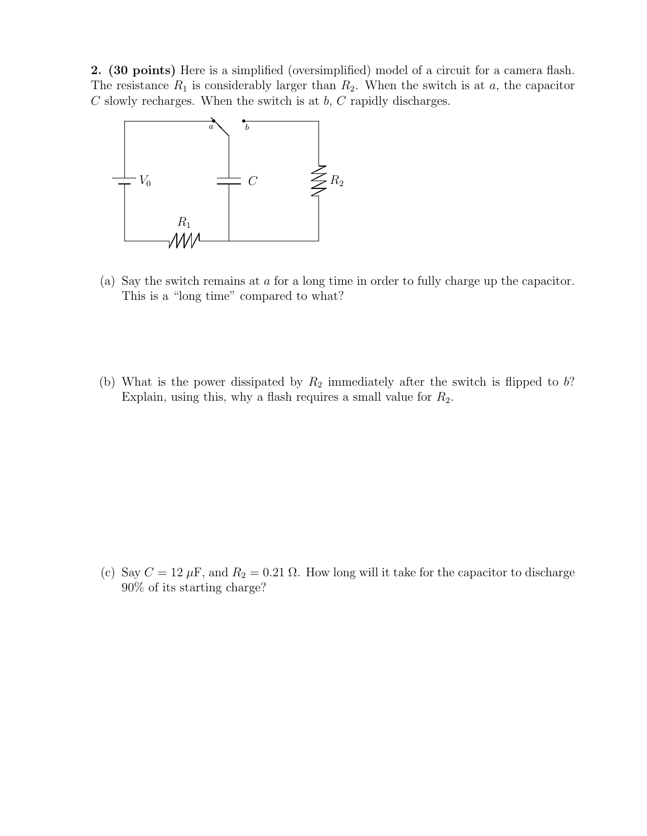2. (30 points) Here is a simplified (oversimplified) model of a circuit for a camera flash. The resistance  $R_1$  is considerably larger than  $R_2$ . When the switch is at a, the capacitor  $C$  slowly recharges. When the switch is at  $b, C$  rapidly discharges.



- (a) Say the switch remains at a for a long time in order to fully charge up the capacitor. This is a "long time" compared to what?
- (b) What is the power dissipated by  $R_2$  immediately after the switch is flipped to b? Explain, using this, why a flash requires a small value for  $R_2$ .

(c) Say  $C = 12 \mu$ F, and  $R_2 = 0.21 \Omega$ . How long will it take for the capacitor to discharge 90% of its starting charge?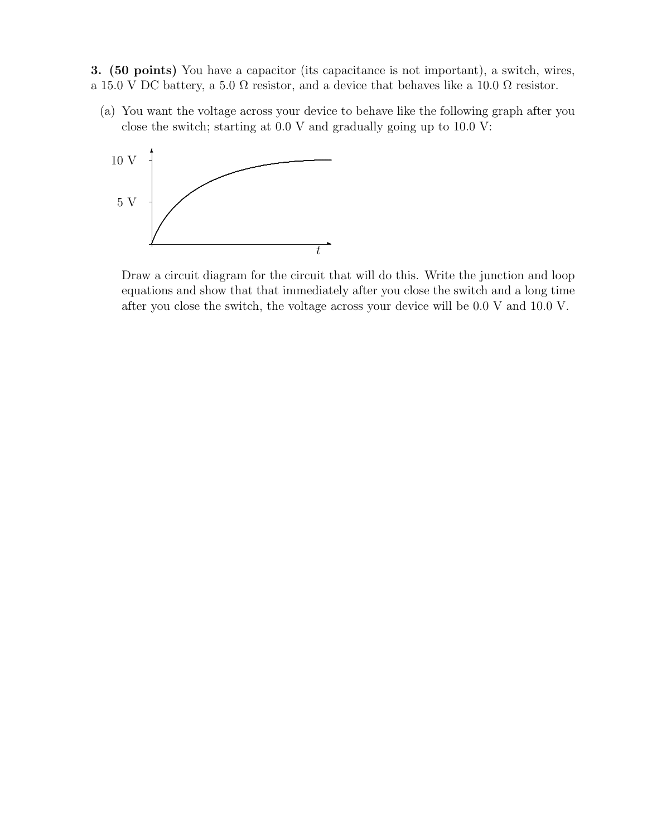3. (50 points) You have a capacitor (its capacitance is not important), a switch, wires, a 15.0 V DC battery, a 5.0  $\Omega$  resistor, and a device that behaves like a 10.0  $\Omega$  resistor.

(a) You want the voltage across your device to behave like the following graph after you close the switch; starting at 0.0 V and gradually going up to 10.0 V:



Draw a circuit diagram for the circuit that will do this. Write the junction and loop equations and show that that immediately after you close the switch and a long time after you close the switch, the voltage across your device will be 0.0 V and 10.0 V.